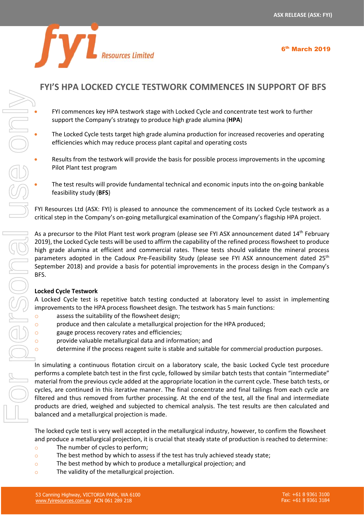6 th March 2019



## **FYI'S HPA LOCKED CYCLE TESTWORK COMMENCES IN SUPPORT OF BFS**

- FYI commences key HPA testwork stage with Locked Cycle and concentrate test work to further support the Company's strategy to produce high grade alumina (**HPA**)
- The Locked Cycle tests target high grade alumina production for increased recoveries and operating efficiencies which may reduce process plant capital and operating costs
- Results from the testwork will provide the basis for possible process improvements in the upcoming Pilot Plant test program
- The test results will provide fundamental technical and economic inputs into the on-going bankable feasibility study (**BFS**)

FYI Resources Ltd (ASX: FYI) is pleased to announce the commencement of its Locked Cycle testwork as a critical step in the Company's on-going metallurgical examination of the Company's flagship HPA project.

As a precursor to the Pilot Plant test work program (please see FYI ASX announcement dated 14<sup>th</sup> February 2019), the Locked Cycle tests will be used to affirm the capability of the refined process flowsheet to produce high grade alumina at efficient and commercial rates. These tests should validate the mineral process parameters adopted in the Cadoux Pre-Feasibility Study (please see FYI ASX announcement dated 25<sup>th</sup> September 2018) and provide a basis for potential improvements in the process design in the Company's BFS.

## **Locked Cycle Testwork**

A Locked Cycle test is repetitive batch testing conducted at laboratory level to assist in implementing improvements to the HPA process flowsheet design. The testwork has 5 main functions:

- o assess the suitability of the flowsheet design;
- o produce and then calculate a metallurgical projection for the HPA produced;
- gauge process recovery rates and efficiencies;
- o provide valuable metallurgical data and information; and
- o determine if the process reagent suite is stable and suitable for commercial production purposes.

In simulating a continuous flotation circuit on a laboratory scale, the basic Locked Cycle test procedure performs a complete batch test in the first cycle, followed by similar batch tests that contain "intermediate" material from the previous cycle added at the appropriate location in the current cycle. These batch tests, or cycles, are continued in this iterative manner. The final concentrate and final tailings from each cycle are filtered and thus removed from further processing. At the end of the test, all the final and intermediate products are dried, weighed and subjected to chemical analysis. The test results are then calculated and balanced and a metallurgical projection is made.

The locked cycle test is very well accepted in the metallurgical industry, however, to confirm the flowsheet and produce a metallurgical projection, it is crucial that steady state of production is reached to determine:

- o The number of cycles to perform;
- $\circ$  The best method by which to assess if the test has truly achieved steady state;
- o The best method by which to produce a metallurgical projection; and
-